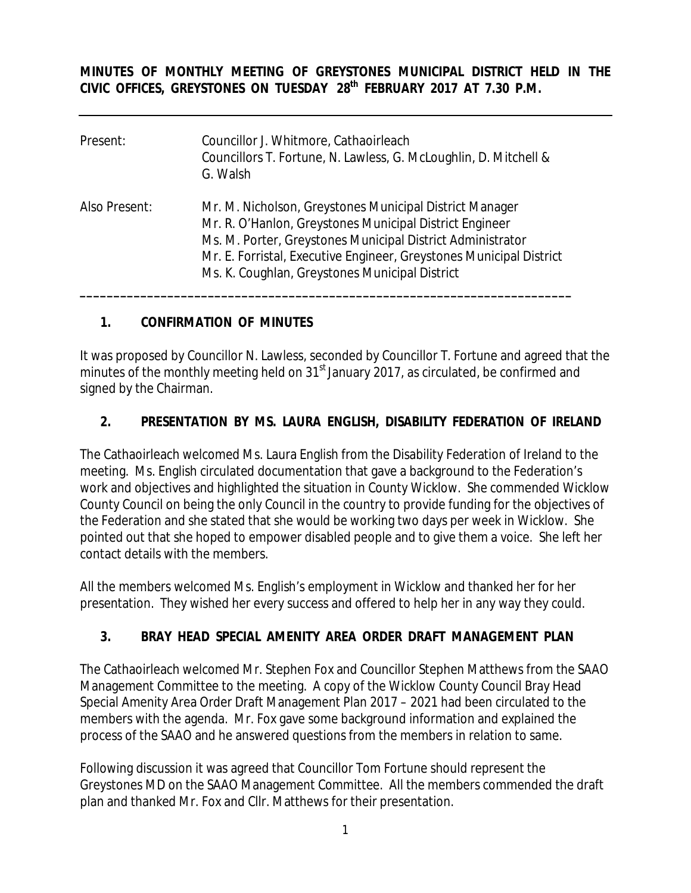**MINUTES OF MONTHLY MEETING OF GREYSTONES MUNICIPAL DISTRICT HELD IN THE CIVIC OFFICES, GREYSTONES ON TUESDAY 28th FEBRUARY 2017 AT 7.30 P.M.** 

| Present:      | Councillor J. Whitmore, Cathaoirleach<br>Councillors T. Fortune, N. Lawless, G. McLoughlin, D. Mitchell &<br>G. Walsh                                                                                                                                                                                     |
|---------------|-----------------------------------------------------------------------------------------------------------------------------------------------------------------------------------------------------------------------------------------------------------------------------------------------------------|
| Also Present: | Mr. M. Nicholson, Greystones Municipal District Manager<br>Mr. R. O'Hanlon, Greystones Municipal District Engineer<br>Ms. M. Porter, Greystones Municipal District Administrator<br>Mr. E. Forristal, Executive Engineer, Greystones Municipal District<br>Ms. K. Coughlan, Greystones Municipal District |

## **1. CONFIRMATION OF MINUTES**

It was proposed by Councillor N. Lawless, seconded by Councillor T. Fortune and agreed that the minutes of the monthly meeting held on 31<sup>st</sup> January 2017, as circulated, be confirmed and signed by the Chairman.

### **2. PRESENTATION BY MS. LAURA ENGLISH, DISABILITY FEDERATION OF IRELAND**

The Cathaoirleach welcomed Ms. Laura English from the Disability Federation of Ireland to the meeting. Ms. English circulated documentation that gave a background to the Federation's work and objectives and highlighted the situation in County Wicklow. She commended Wicklow County Council on being the only Council in the country to provide funding for the objectives of the Federation and she stated that she would be working two days per week in Wicklow. She pointed out that she hoped to empower disabled people and to give them a voice. She left her contact details with the members.

All the members welcomed Ms. English's employment in Wicklow and thanked her for her presentation. They wished her every success and offered to help her in any way they could.

## **3. BRAY HEAD SPECIAL AMENITY AREA ORDER DRAFT MANAGEMENT PLAN**

The Cathaoirleach welcomed Mr. Stephen Fox and Councillor Stephen Matthews from the SAAO Management Committee to the meeting. A copy of the Wicklow County Council Bray Head Special Amenity Area Order Draft Management Plan 2017 – 2021 had been circulated to the members with the agenda. Mr. Fox gave some background information and explained the process of the SAAO and he answered questions from the members in relation to same.

Following discussion it was agreed that Councillor Tom Fortune should represent the Greystones MD on the SAAO Management Committee. All the members commended the draft plan and thanked Mr. Fox and Cllr. Matthews for their presentation.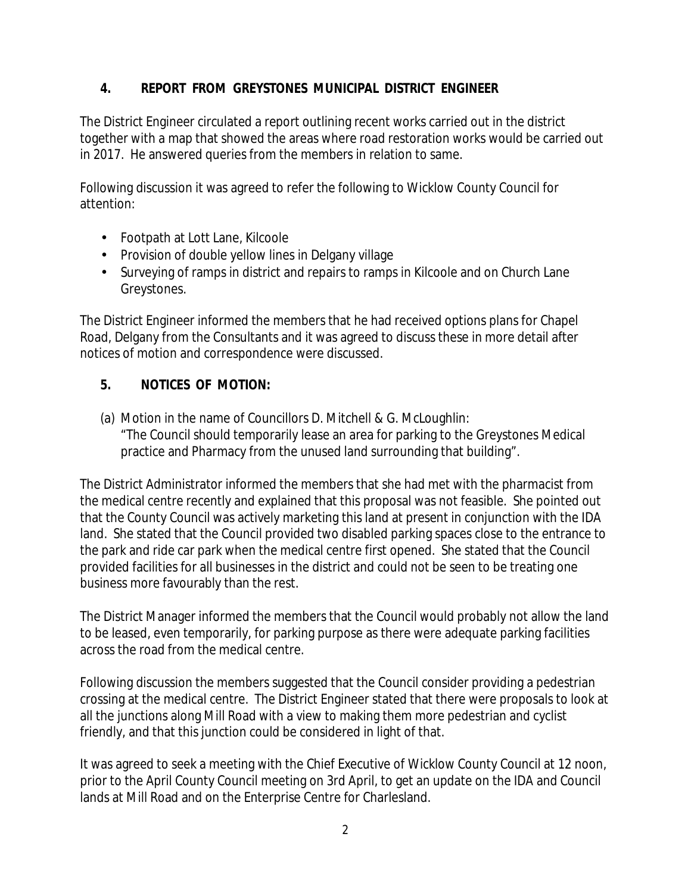# **4. REPORT FROM GREYSTONES MUNICIPAL DISTRICT ENGINEER**

The District Engineer circulated a report outlining recent works carried out in the district together with a map that showed the areas where road restoration works would be carried out in 2017. He answered queries from the members in relation to same.

Following discussion it was agreed to refer the following to Wicklow County Council for attention:

- Footpath at Lott Lane, Kilcoole
- Provision of double yellow lines in Delgany village
- Surveying of ramps in district and repairs to ramps in Kilcoole and on Church Lane Greystones.

The District Engineer informed the members that he had received options plans for Chapel Road, Delgany from the Consultants and it was agreed to discuss these in more detail after notices of motion and correspondence were discussed.

### **5. NOTICES OF MOTION:**

(a) Motion in the name of Councillors D. Mitchell & G. McLoughlin: "The Council should temporarily lease an area for parking to the Greystones Medical practice and Pharmacy from the unused land surrounding that building".

The District Administrator informed the members that she had met with the pharmacist from the medical centre recently and explained that this proposal was not feasible. She pointed out that the County Council was actively marketing this land at present in conjunction with the IDA land. She stated that the Council provided two disabled parking spaces close to the entrance to the park and ride car park when the medical centre first opened. She stated that the Council provided facilities for all businesses in the district and could not be seen to be treating one business more favourably than the rest.

The District Manager informed the members that the Council would probably not allow the land to be leased, even temporarily, for parking purpose as there were adequate parking facilities across the road from the medical centre.

Following discussion the members suggested that the Council consider providing a pedestrian crossing at the medical centre. The District Engineer stated that there were proposals to look at all the junctions along Mill Road with a view to making them more pedestrian and cyclist friendly, and that this junction could be considered in light of that.

It was agreed to seek a meeting with the Chief Executive of Wicklow County Council at 12 noon, prior to the April County Council meeting on 3rd April, to get an update on the IDA and Council lands at Mill Road and on the Enterprise Centre for Charlesland.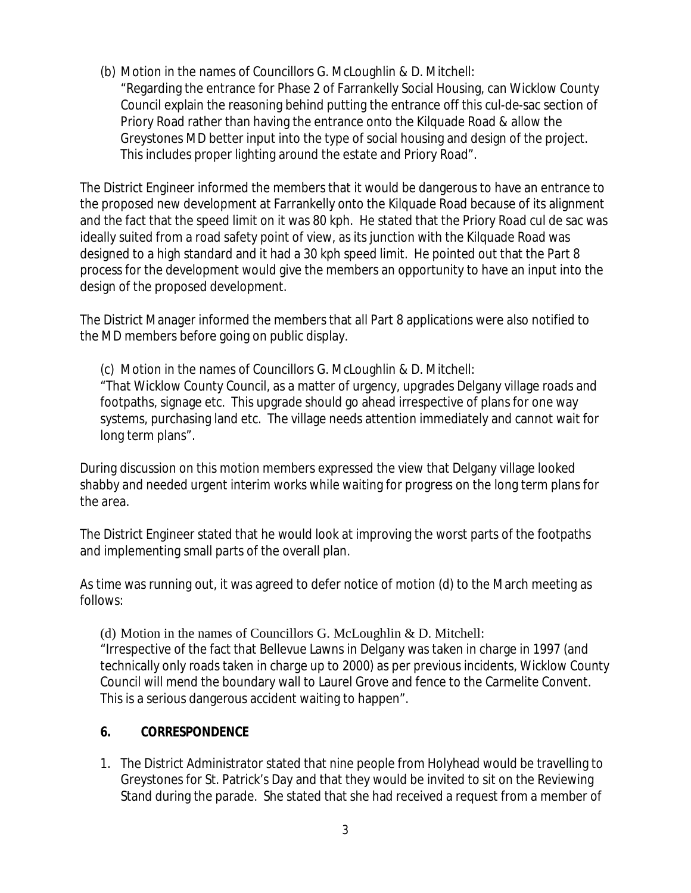(b) Motion in the names of Councillors G. McLoughlin & D. Mitchell:

"Regarding the entrance for Phase 2 of Farrankelly Social Housing, can Wicklow County Council explain the reasoning behind putting the entrance off this cul-de-sac section of Priory Road rather than having the entrance onto the Kilquade Road & allow the Greystones MD better input into the type of social housing and design of the project. This includes proper lighting around the estate and Priory Road".

The District Engineer informed the members that it would be dangerous to have an entrance to the proposed new development at Farrankelly onto the Kilquade Road because of its alignment and the fact that the speed limit on it was 80 kph. He stated that the Priory Road cul de sac was ideally suited from a road safety point of view, as its junction with the Kilquade Road was designed to a high standard and it had a 30 kph speed limit. He pointed out that the Part 8 process for the development would give the members an opportunity to have an input into the design of the proposed development.

The District Manager informed the members that all Part 8 applications were also notified to the MD members before going on public display.

(c) Motion in the names of Councillors G. McLoughlin & D. Mitchell: "That Wicklow County Council, as a matter of urgency, upgrades Delgany village roads and footpaths, signage etc. This upgrade should go ahead irrespective of plans for one way systems, purchasing land etc. The village needs attention immediately and cannot wait for long term plans".

During discussion on this motion members expressed the view that Delgany village looked shabby and needed urgent interim works while waiting for progress on the long term plans for the area.

The District Engineer stated that he would look at improving the worst parts of the footpaths and implementing small parts of the overall plan.

As time was running out, it was agreed to defer notice of motion (d) to the March meeting as follows:

(d) Motion in the names of Councillors G. McLoughlin & D. Mitchell: "Irrespective of the fact that Bellevue Lawns in Delgany was taken in charge in 1997 (and technically only roads taken in charge up to 2000) as per previous incidents, Wicklow County Council will mend the boundary wall to Laurel Grove and fence to the Carmelite Convent. This is a serious dangerous accident waiting to happen".

# **6. CORRESPONDENCE**

1. The District Administrator stated that nine people from Holyhead would be travelling to Greystones for St. Patrick's Day and that they would be invited to sit on the Reviewing Stand during the parade. She stated that she had received a request from a member of